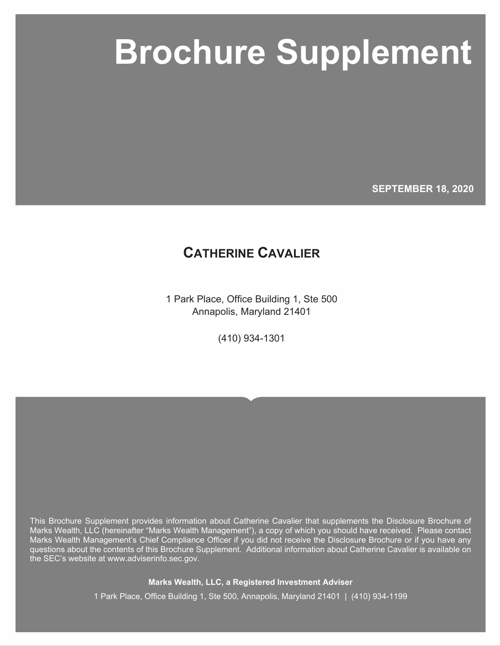# **Marks Wealth, LLC Brochure Supplement Brochure Supplement**

**SEPTEMBER 18, 2020**

## **CATHERINE CAVALIER**

1 Park Place, Office Building 1, Ste 500 Annapolis, Maryland 21401

(410) 934-1301

This Brochure Supplement provides information about Catherine Cavalier that supplements the Disclosure Brochure of Marks Wealth, LLC (hereinafter "Marks Wealth Management"), a copy of which you should have received. Please contact Marks Wealth Management's Chief Compliance Officer if you did not receive the Disclosure Brochure or if you have any questions about the contents of this Brochure Supplement. Additional information about Catherine Cavalier is available on the SEC's website at www.adviserinfo.sec.gov.

**Marks Wealth, LLC, a Registered Investment Adviser**

1 Park Place, Office Building 1, Ste 500, Annapolis, Maryland 21401 | (410) 934-1199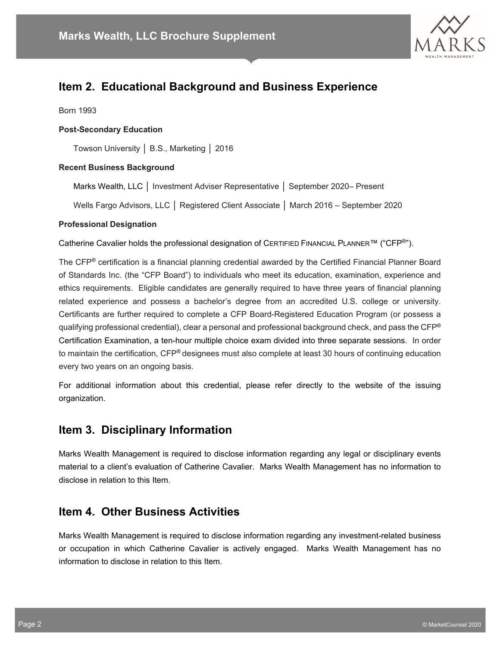

## **Item 2. Educational Background and Business Experience**

Born 1993

#### **Post-Secondary Education**

Towson University │ B.S., Marketing │ 2016

#### **Recent Business Background**

Marks Wealth, LLC │ Investment Adviser Representative │ September 2020– Present

Wells Fargo Advisors, LLC │ Registered Client Associate │ March 2016 – September 2020

#### **Professional Designation**

Catherine Cavalier holds the professional designation of CERTIFIED FINANCIAL PLANNER™ ("CFP®").

The CFP® certification is a financial planning credential awarded by the Certified Financial Planner Board of Standards Inc. (the "CFP Board") to individuals who meet its education, examination, experience and ethics requirements. Eligible candidates are generally required to have three years of financial planning related experience and possess a bachelor's degree from an accredited U.S. college or university. Certificants are further required to complete a CFP Board-Registered Education Program (or possess a qualifying professional credential), clear a personal and professional background check, and pass the CFP<sup>®</sup> Certification Examination, a ten-hour multiple choice exam divided into three separate sessions. In order to maintain the certification, CFP® designees must also complete at least 30 hours of continuing education every two years on an ongoing basis.

For additional information about this credential, please refer directly to the website of the issuing organization.

## **Item 3. Disciplinary Information**

Marks Wealth Management is required to disclose information regarding any legal or disciplinary events material to a client's evaluation of Catherine Cavalier. Marks Wealth Management has no information to disclose in relation to this Item.

### **Item 4. Other Business Activities**

Marks Wealth Management is required to disclose information regarding any investment-related business or occupation in which Catherine Cavalier is actively engaged. Marks Wealth Management has no information to disclose in relation to this Item.